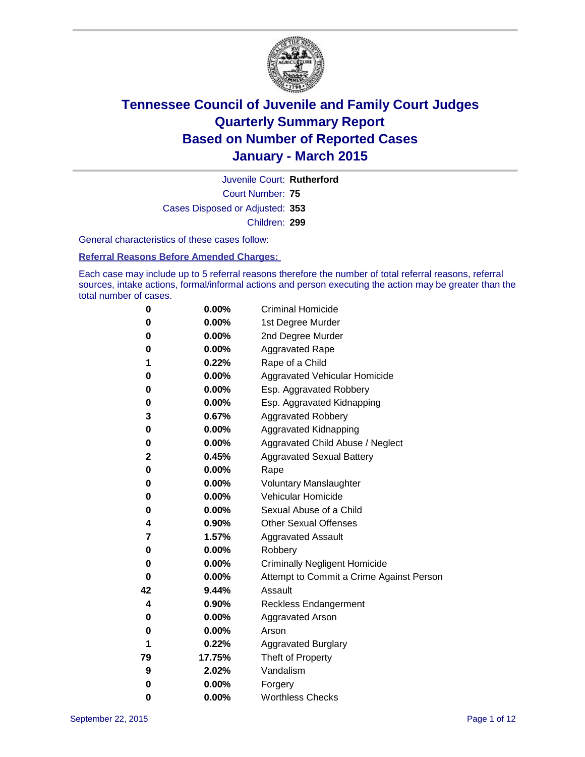

Court Number: **75** Juvenile Court: **Rutherford** Cases Disposed or Adjusted: **353** Children: **299**

General characteristics of these cases follow:

#### **Referral Reasons Before Amended Charges:**

Each case may include up to 5 referral reasons therefore the number of total referral reasons, referral sources, intake actions, formal/informal actions and person executing the action may be greater than the total number of cases.

| 0  | 0.00%    | <b>Criminal Homicide</b>                 |  |  |
|----|----------|------------------------------------------|--|--|
| 0  | 0.00%    | 1st Degree Murder                        |  |  |
| 0  | 0.00%    | 2nd Degree Murder                        |  |  |
| 0  | 0.00%    | <b>Aggravated Rape</b>                   |  |  |
| 1  | 0.22%    | Rape of a Child                          |  |  |
| 0  | 0.00%    | Aggravated Vehicular Homicide            |  |  |
| 0  | 0.00%    | Esp. Aggravated Robbery                  |  |  |
| 0  | 0.00%    | Esp. Aggravated Kidnapping               |  |  |
| 3  | 0.67%    | <b>Aggravated Robbery</b>                |  |  |
| 0  | 0.00%    | Aggravated Kidnapping                    |  |  |
| 0  | 0.00%    | Aggravated Child Abuse / Neglect         |  |  |
| 2  | 0.45%    | <b>Aggravated Sexual Battery</b>         |  |  |
| 0  | 0.00%    | Rape                                     |  |  |
| 0  | $0.00\%$ | <b>Voluntary Manslaughter</b>            |  |  |
| 0  | 0.00%    | <b>Vehicular Homicide</b>                |  |  |
| 0  | 0.00%    | Sexual Abuse of a Child                  |  |  |
| 4  | 0.90%    | <b>Other Sexual Offenses</b>             |  |  |
| 7  | 1.57%    | <b>Aggravated Assault</b>                |  |  |
| 0  | 0.00%    | Robbery                                  |  |  |
| 0  | 0.00%    | <b>Criminally Negligent Homicide</b>     |  |  |
| 0  | 0.00%    | Attempt to Commit a Crime Against Person |  |  |
| 42 | 9.44%    | Assault                                  |  |  |
| 4  | 0.90%    | <b>Reckless Endangerment</b>             |  |  |
| 0  | 0.00%    | <b>Aggravated Arson</b>                  |  |  |
| 0  | 0.00%    | Arson                                    |  |  |
| 1  | 0.22%    | <b>Aggravated Burglary</b>               |  |  |
| 79 | 17.75%   | Theft of Property                        |  |  |
| 9  | 2.02%    | Vandalism                                |  |  |
| 0  | 0.00%    | Forgery                                  |  |  |
| 0  | 0.00%    | <b>Worthless Checks</b>                  |  |  |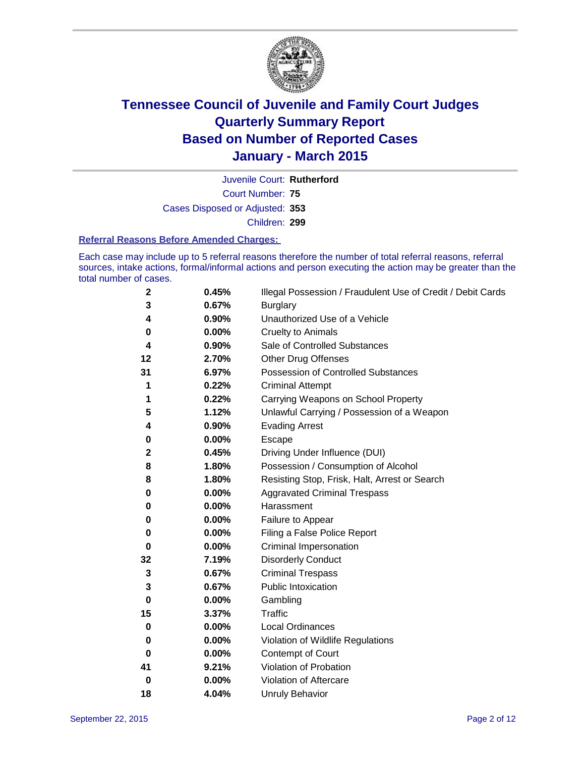

Court Number: **75** Juvenile Court: **Rutherford** Cases Disposed or Adjusted: **353** Children: **299**

#### **Referral Reasons Before Amended Charges:**

Each case may include up to 5 referral reasons therefore the number of total referral reasons, referral sources, intake actions, formal/informal actions and person executing the action may be greater than the total number of cases.

| 2            | 0.45% | Illegal Possession / Fraudulent Use of Credit / Debit Cards |
|--------------|-------|-------------------------------------------------------------|
| 3            | 0.67% | <b>Burglary</b>                                             |
| 4            | 0.90% | Unauthorized Use of a Vehicle                               |
| 0            | 0.00% | <b>Cruelty to Animals</b>                                   |
| 4            | 0.90% | Sale of Controlled Substances                               |
| 12           | 2.70% | <b>Other Drug Offenses</b>                                  |
| 31           | 6.97% | Possession of Controlled Substances                         |
| 1            | 0.22% | <b>Criminal Attempt</b>                                     |
| 1            | 0.22% | Carrying Weapons on School Property                         |
| 5            | 1.12% | Unlawful Carrying / Possession of a Weapon                  |
| 4            | 0.90% | <b>Evading Arrest</b>                                       |
| 0            | 0.00% | Escape                                                      |
| $\mathbf{2}$ | 0.45% | Driving Under Influence (DUI)                               |
| 8            | 1.80% | Possession / Consumption of Alcohol                         |
| 8            | 1.80% | Resisting Stop, Frisk, Halt, Arrest or Search               |
| 0            | 0.00% | <b>Aggravated Criminal Trespass</b>                         |
| 0            | 0.00% | Harassment                                                  |
| 0            | 0.00% | Failure to Appear                                           |
| 0            | 0.00% | Filing a False Police Report                                |
| 0            | 0.00% | <b>Criminal Impersonation</b>                               |
| 32           | 7.19% | <b>Disorderly Conduct</b>                                   |
| 3            | 0.67% | <b>Criminal Trespass</b>                                    |
| 3            | 0.67% | <b>Public Intoxication</b>                                  |
| 0            | 0.00% | Gambling                                                    |
| 15           | 3.37% | Traffic                                                     |
| 0            | 0.00% | Local Ordinances                                            |
| 0            | 0.00% | Violation of Wildlife Regulations                           |
| 0            | 0.00% | Contempt of Court                                           |
| 41           | 9.21% | Violation of Probation                                      |
| 0            | 0.00% | Violation of Aftercare                                      |
| 18           | 4.04% | <b>Unruly Behavior</b>                                      |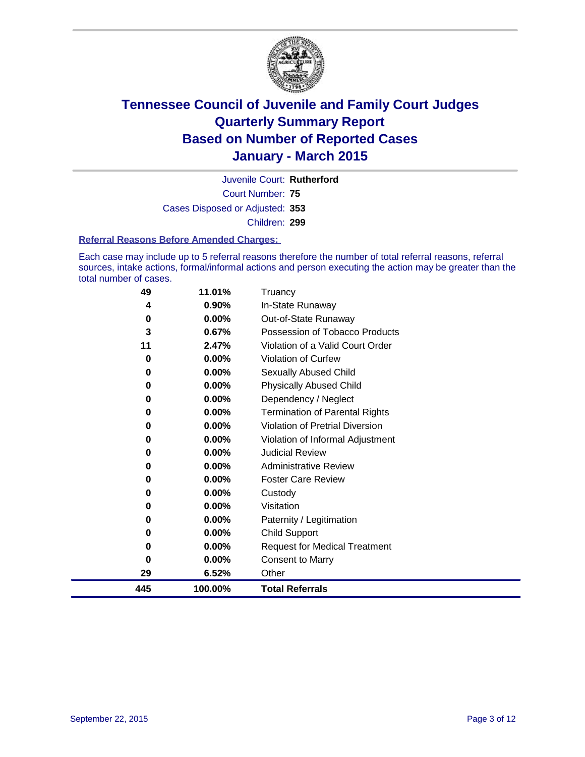

Court Number: **75** Juvenile Court: **Rutherford** Cases Disposed or Adjusted: **353** Children: **299**

#### **Referral Reasons Before Amended Charges:**

Each case may include up to 5 referral reasons therefore the number of total referral reasons, referral sources, intake actions, formal/informal actions and person executing the action may be greater than the total number of cases.

| 49  | 11.01%   | Truancy                                |
|-----|----------|----------------------------------------|
| 4   | 0.90%    | In-State Runaway                       |
| 0   | 0.00%    | Out-of-State Runaway                   |
| 3   | 0.67%    | Possession of Tobacco Products         |
| 11  | 2.47%    | Violation of a Valid Court Order       |
| 0   | 0.00%    | <b>Violation of Curfew</b>             |
| 0   | 0.00%    | Sexually Abused Child                  |
| 0   | 0.00%    | <b>Physically Abused Child</b>         |
| 0   | 0.00%    | Dependency / Neglect                   |
| 0   | $0.00\%$ | <b>Termination of Parental Rights</b>  |
| 0   | $0.00\%$ | <b>Violation of Pretrial Diversion</b> |
| 0   | 0.00%    | Violation of Informal Adjustment       |
| 0   | $0.00\%$ | <b>Judicial Review</b>                 |
| 0   | 0.00%    | <b>Administrative Review</b>           |
| 0   | 0.00%    | <b>Foster Care Review</b>              |
| 0   | $0.00\%$ | Custody                                |
| 0   | $0.00\%$ | Visitation                             |
| 0   | 0.00%    | Paternity / Legitimation               |
| 0   | $0.00\%$ | <b>Child Support</b>                   |
| 0   | 0.00%    | <b>Request for Medical Treatment</b>   |
| 0   | 0.00%    | <b>Consent to Marry</b>                |
| 29  | 6.52%    | Other                                  |
| 445 | 100.00%  | <b>Total Referrals</b>                 |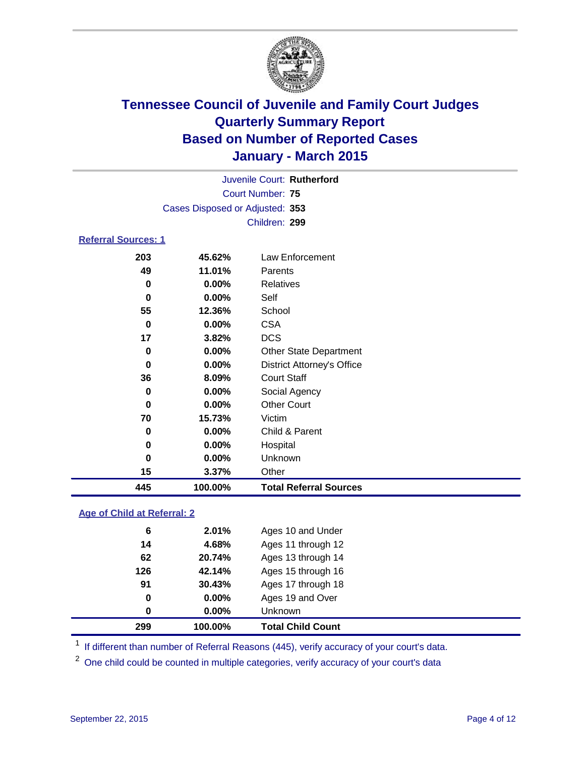

| Juvenile Court: Rutherford      |  |
|---------------------------------|--|
| Court Number: 75                |  |
| Cases Disposed or Adjusted: 353 |  |
| Children: 299                   |  |
| <b>Referral Sources: 1</b>      |  |

| 445      | 100.00%  | <b>Total Referral Sources</b>     |
|----------|----------|-----------------------------------|
| 15       | $3.37\%$ | Other                             |
| 0        | $0.00\%$ | Unknown                           |
| 0        | $0.00\%$ | Hospital                          |
| 0        | $0.00\%$ | Child & Parent                    |
| 70       | 15.73%   | Victim                            |
| 0        | $0.00\%$ | <b>Other Court</b>                |
| 0        | $0.00\%$ | Social Agency                     |
| 36       | 8.09%    | <b>Court Staff</b>                |
| $\bf{0}$ | $0.00\%$ | <b>District Attorney's Office</b> |
| 0        | $0.00\%$ | <b>Other State Department</b>     |
| 17       | 3.82%    | <b>DCS</b>                        |
| 0        | $0.00\%$ | <b>CSA</b>                        |
| 55       | 12.36%   | School                            |
| 0        | 0.00%    | Self                              |
| 0        | $0.00\%$ | <b>Relatives</b>                  |
| 49       | 11.01%   | Parents                           |
| 203      | 45.62%   | Law Enforcement                   |

### **Age of Child at Referral: 2**

| 299 | 100.00%  | <b>Total Child Count</b> |
|-----|----------|--------------------------|
| 0   | $0.00\%$ | <b>Unknown</b>           |
| 0   | $0.00\%$ | Ages 19 and Over         |
| 91  | 30.43%   | Ages 17 through 18       |
| 126 | 42.14%   | Ages 15 through 16       |
| 62  | 20.74%   | Ages 13 through 14       |
| 14  | 4.68%    | Ages 11 through 12       |
| 6   | 2.01%    | Ages 10 and Under        |

<sup>1</sup> If different than number of Referral Reasons (445), verify accuracy of your court's data.

One child could be counted in multiple categories, verify accuracy of your court's data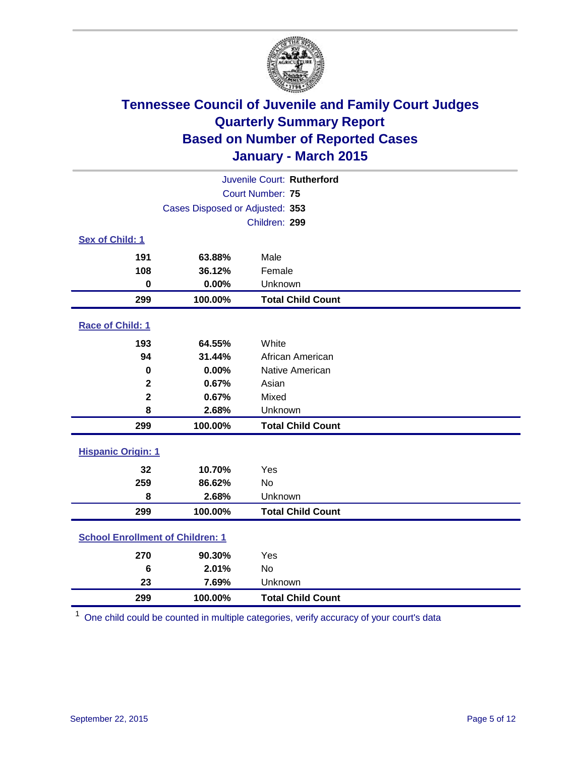

| Juvenile Court: Rutherford              |                                 |                          |  |
|-----------------------------------------|---------------------------------|--------------------------|--|
| Court Number: 75                        |                                 |                          |  |
|                                         | Cases Disposed or Adjusted: 353 |                          |  |
|                                         |                                 | Children: 299            |  |
| Sex of Child: 1                         |                                 |                          |  |
| 191                                     | 63.88%                          | Male                     |  |
| 108                                     | 36.12%                          | Female                   |  |
| $\bf{0}$                                | 0.00%                           | Unknown                  |  |
| 299                                     | 100.00%                         | <b>Total Child Count</b> |  |
| Race of Child: 1                        |                                 |                          |  |
| 193                                     | 64.55%                          | White                    |  |
| 94                                      | 31.44%                          | African American         |  |
| $\bf{0}$                                | 0.00%                           | Native American          |  |
| $\mathbf{2}$                            | 0.67%                           | Asian                    |  |
| $\overline{\mathbf{2}}$                 | 0.67%                           | Mixed                    |  |
| 8                                       | 2.68%                           | Unknown                  |  |
| 299                                     | 100.00%                         | <b>Total Child Count</b> |  |
| <b>Hispanic Origin: 1</b>               |                                 |                          |  |
| 32                                      | 10.70%                          | Yes                      |  |
| 259                                     | 86.62%                          | <b>No</b>                |  |
| 8                                       | 2.68%                           | Unknown                  |  |
| 299                                     | 100.00%                         | <b>Total Child Count</b> |  |
| <b>School Enrollment of Children: 1</b> |                                 |                          |  |
| 270                                     | 90.30%                          | Yes                      |  |
| 6                                       | 2.01%                           | <b>No</b>                |  |
| 23                                      | 7.69%                           | Unknown                  |  |
| 299                                     | 100.00%                         | <b>Total Child Count</b> |  |

One child could be counted in multiple categories, verify accuracy of your court's data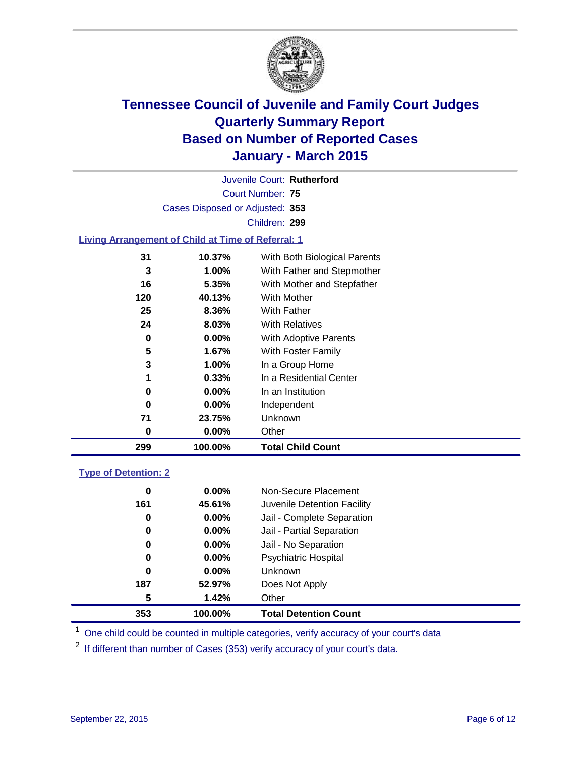

Court Number: **75** Juvenile Court: **Rutherford** Cases Disposed or Adjusted: **353** Children: **299**

### **Living Arrangement of Child at Time of Referral: 1**

| 299 | 100.00%  | <b>Total Child Count</b>     |
|-----|----------|------------------------------|
| 0   | $0.00\%$ | Other                        |
| 71  | 23.75%   | Unknown                      |
| 0   | $0.00\%$ | Independent                  |
| 0   | 0.00%    | In an Institution            |
| 1   | 0.33%    | In a Residential Center      |
| 3   | 1.00%    | In a Group Home              |
| 5   | 1.67%    | With Foster Family           |
| 0   | $0.00\%$ | <b>With Adoptive Parents</b> |
| 24  | 8.03%    | <b>With Relatives</b>        |
| 25  | 8.36%    | With Father                  |
| 120 | 40.13%   | With Mother                  |
| 16  | 5.35%    | With Mother and Stepfather   |
| 3   | $1.00\%$ | With Father and Stepmother   |
| 31  | 10.37%   | With Both Biological Parents |
|     |          |                              |

### **Type of Detention: 2**

| 353 | 100.00%  | <b>Total Detention Count</b> |
|-----|----------|------------------------------|
| 5   | 1.42%    | Other                        |
| 187 | 52.97%   | Does Not Apply               |
| 0   | $0.00\%$ | <b>Unknown</b>               |
| 0   | $0.00\%$ | <b>Psychiatric Hospital</b>  |
| 0   | $0.00\%$ | Jail - No Separation         |
| 0   | $0.00\%$ | Jail - Partial Separation    |
| 0   | $0.00\%$ | Jail - Complete Separation   |
| 161 | 45.61%   | Juvenile Detention Facility  |
| 0   | $0.00\%$ | Non-Secure Placement         |
|     |          |                              |

<sup>1</sup> One child could be counted in multiple categories, verify accuracy of your court's data

If different than number of Cases (353) verify accuracy of your court's data.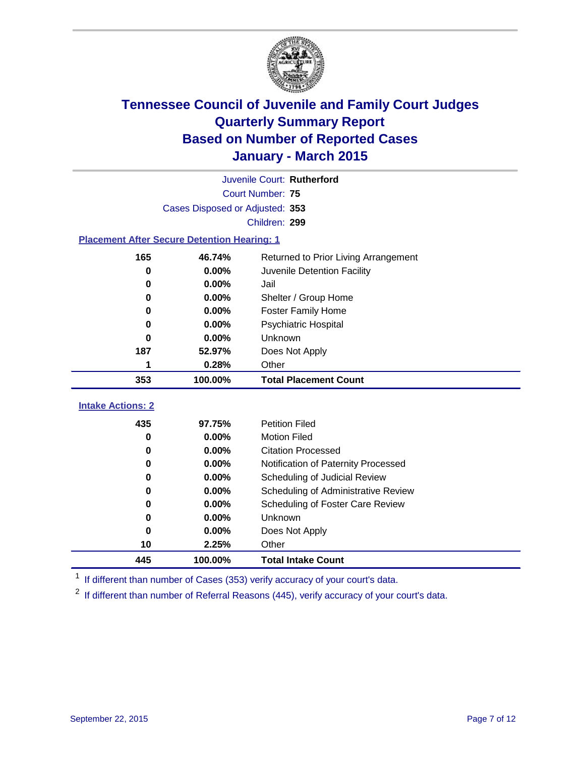

| Juvenile Court: Rutherford |                                                    |                                      |  |
|----------------------------|----------------------------------------------------|--------------------------------------|--|
|                            | <b>Court Number: 75</b>                            |                                      |  |
|                            | Cases Disposed or Adjusted: 353                    |                                      |  |
|                            |                                                    | Children: 299                        |  |
|                            | <b>Placement After Secure Detention Hearing: 1</b> |                                      |  |
| 165                        | 46.74%                                             | Returned to Prior Living Arrangement |  |
| $\bf{0}$                   | 0.00%                                              | Juvenile Detention Facility          |  |
| 0                          | 0.00%                                              | Jail                                 |  |
| 0                          | 0.00%                                              | Shelter / Group Home                 |  |
| 0                          | 0.00%                                              | <b>Foster Family Home</b>            |  |
| 0                          | 0.00%                                              | Psychiatric Hospital                 |  |
| 0                          | 0.00%                                              | Unknown                              |  |
| 187                        | 52.97%                                             | Does Not Apply                       |  |
| 1                          | 0.28%                                              | Other                                |  |
| 353                        | 100.00%                                            | <b>Total Placement Count</b>         |  |
| <b>Intake Actions: 2</b>   |                                                    |                                      |  |
|                            |                                                    |                                      |  |
| 435                        | 97.75%                                             | <b>Petition Filed</b>                |  |
| 0                          | 0.00%                                              | <b>Motion Filed</b>                  |  |
| 0                          | 0.00%                                              | <b>Citation Processed</b>            |  |
| 0                          | 0.00%                                              | Notification of Paternity Processed  |  |
| 0                          | 0.00%                                              | Scheduling of Judicial Review        |  |
| 0                          | 0.00%                                              | Scheduling of Administrative Review  |  |
| 0                          | 0.00%                                              | Scheduling of Foster Care Review     |  |
| $\bf{0}$                   | 0.00%                                              | Unknown                              |  |
| 0                          | 0.00%                                              | Does Not Apply                       |  |
| 10                         | 2.25%                                              | Other                                |  |
| 445                        | 100.00%                                            | <b>Total Intake Count</b>            |  |

<sup>1</sup> If different than number of Cases (353) verify accuracy of your court's data.

If different than number of Referral Reasons (445), verify accuracy of your court's data.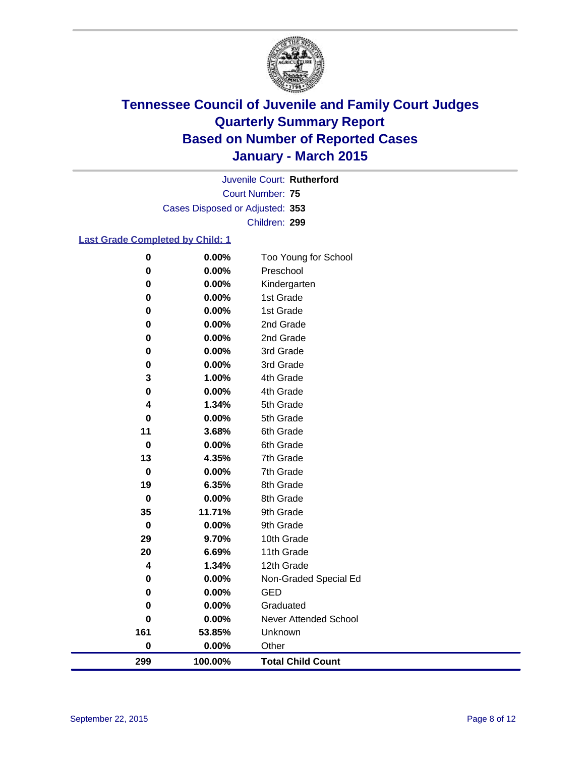

Court Number: **75** Juvenile Court: **Rutherford** Cases Disposed or Adjusted: **353** Children: **299**

### **Last Grade Completed by Child: 1**

| $\bf{0}$    | 0.00%   | Too Young for School     |
|-------------|---------|--------------------------|
| 0           | 0.00%   | Preschool                |
| $\mathbf 0$ | 0.00%   | Kindergarten             |
| $\pmb{0}$   | 0.00%   | 1st Grade                |
| 0           | 0.00%   | 1st Grade                |
| 0           | 0.00%   | 2nd Grade                |
| 0           | 0.00%   | 2nd Grade                |
| 0           | 0.00%   | 3rd Grade                |
| 0           | 0.00%   | 3rd Grade                |
| 3           | 1.00%   | 4th Grade                |
| 0           | 0.00%   | 4th Grade                |
| 4           | 1.34%   | 5th Grade                |
| $\mathbf 0$ | 0.00%   | 5th Grade                |
| 11          | 3.68%   | 6th Grade                |
| $\mathbf 0$ | 0.00%   | 6th Grade                |
| 13          | 4.35%   | 7th Grade                |
| $\mathbf 0$ | 0.00%   | 7th Grade                |
| 19          | 6.35%   | 8th Grade                |
| 0           | 0.00%   | 8th Grade                |
| 35          | 11.71%  | 9th Grade                |
| $\bf{0}$    | 0.00%   | 9th Grade                |
| 29          | 9.70%   | 10th Grade               |
| 20          | 6.69%   | 11th Grade               |
| 4           | 1.34%   | 12th Grade               |
| 0           | 0.00%   | Non-Graded Special Ed    |
| 0           | 0.00%   | <b>GED</b>               |
| 0           | 0.00%   | Graduated                |
| $\mathbf 0$ | 0.00%   | Never Attended School    |
| 161         | 53.85%  | Unknown                  |
| $\bf{0}$    | 0.00%   | Other                    |
| 299         | 100.00% | <b>Total Child Count</b> |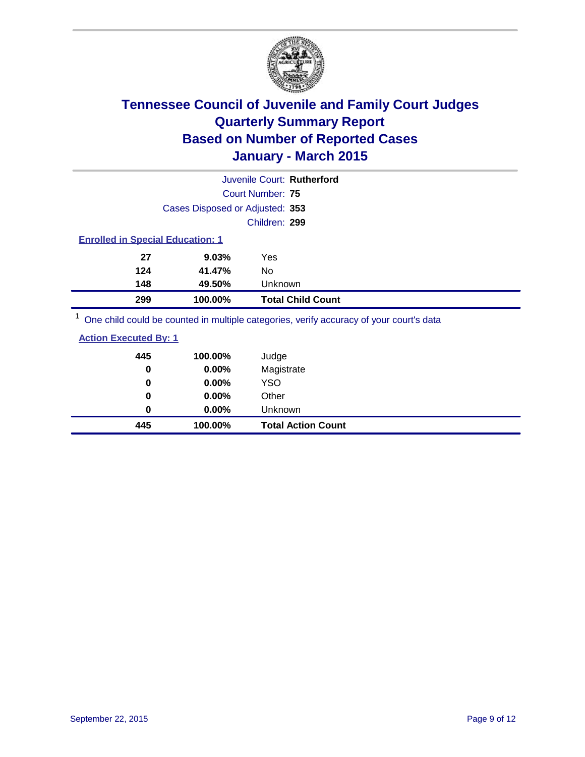

|                                         |                                 | Juvenile Court: Rutherford |
|-----------------------------------------|---------------------------------|----------------------------|
|                                         |                                 | Court Number: 75           |
|                                         | Cases Disposed or Adjusted: 353 |                            |
|                                         |                                 | Children: 299              |
| <b>Enrolled in Special Education: 1</b> |                                 |                            |
| 27                                      | 9.03%                           | Yes                        |
| 124                                     | 41.47%                          | No                         |
| 148                                     | 49.50%                          | <b>Unknown</b>             |
| 299                                     | 100.00%                         | <b>Total Child Count</b>   |
| $1 -$                                   |                                 |                            |

<sup>1</sup> One child could be counted in multiple categories, verify accuracy of your court's data

| <b>Action Executed By: 1</b> |
|------------------------------|
|------------------------------|

| 445      | 100.00%  | <b>Total Action Count</b> |
|----------|----------|---------------------------|
| 0        | $0.00\%$ | Unknown                   |
| $\bf{0}$ | $0.00\%$ | Other                     |
| 0        | $0.00\%$ | <b>YSO</b>                |
| 0        | 0.00%    | Magistrate                |
| 445      | 100.00%  | Judge                     |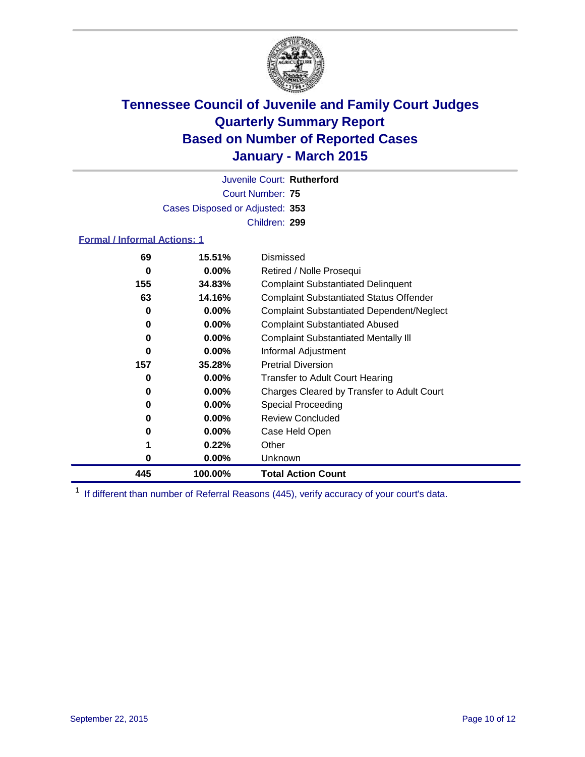

Court Number: **75** Juvenile Court: **Rutherford** Cases Disposed or Adjusted: **353** Children: **299**

### **Formal / Informal Actions: 1**

| 69  | 15.51%   | Dismissed                                        |
|-----|----------|--------------------------------------------------|
| 0   | $0.00\%$ | Retired / Nolle Prosequi                         |
| 155 | 34.83%   | <b>Complaint Substantiated Delinquent</b>        |
| 63  | 14.16%   | <b>Complaint Substantiated Status Offender</b>   |
| 0   | $0.00\%$ | <b>Complaint Substantiated Dependent/Neglect</b> |
| 0   | $0.00\%$ | <b>Complaint Substantiated Abused</b>            |
| 0   | $0.00\%$ | <b>Complaint Substantiated Mentally III</b>      |
| 0   | $0.00\%$ | Informal Adjustment                              |
| 157 | 35.28%   | <b>Pretrial Diversion</b>                        |
| 0   | $0.00\%$ | <b>Transfer to Adult Court Hearing</b>           |
| 0   | $0.00\%$ | Charges Cleared by Transfer to Adult Court       |
| 0   | $0.00\%$ | Special Proceeding                               |
| 0   | $0.00\%$ | <b>Review Concluded</b>                          |
| 0   | $0.00\%$ | Case Held Open                                   |
|     | 0.22%    | Other                                            |
| 0   | $0.00\%$ | <b>Unknown</b>                                   |
| 445 | 100.00%  | <b>Total Action Count</b>                        |

<sup>1</sup> If different than number of Referral Reasons (445), verify accuracy of your court's data.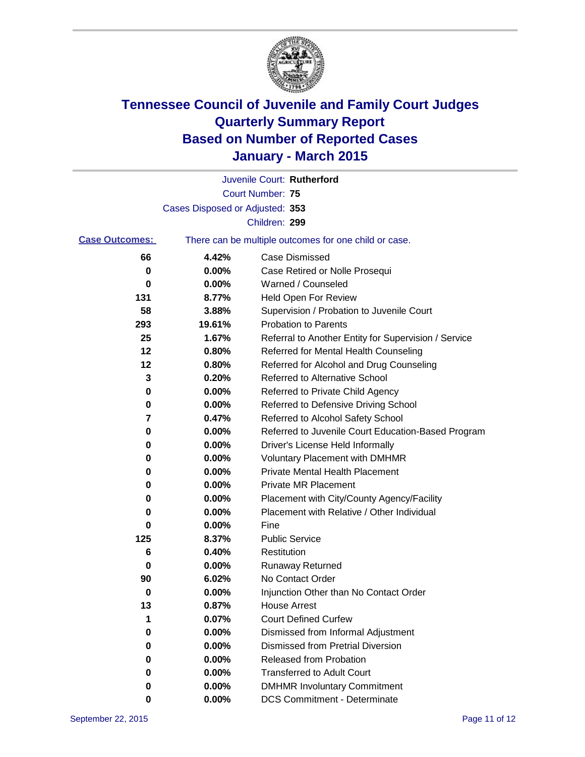

|                       |                                 | Juvenile Court: Rutherford                            |
|-----------------------|---------------------------------|-------------------------------------------------------|
|                       |                                 | <b>Court Number: 75</b>                               |
|                       | Cases Disposed or Adjusted: 353 |                                                       |
|                       |                                 | Children: 299                                         |
| <b>Case Outcomes:</b> |                                 | There can be multiple outcomes for one child or case. |
| 66                    | 4.42%                           | Case Dismissed                                        |
| 0                     | 0.00%                           | Case Retired or Nolle Prosequi                        |
| 0                     | 0.00%                           | Warned / Counseled                                    |
| 131                   | 8.77%                           | <b>Held Open For Review</b>                           |
| 58                    | 3.88%                           | Supervision / Probation to Juvenile Court             |
| 293                   | 19.61%                          | <b>Probation to Parents</b>                           |
| 25                    | 1.67%                           | Referral to Another Entity for Supervision / Service  |
| 12                    | 0.80%                           | Referred for Mental Health Counseling                 |
| 12                    | 0.80%                           | Referred for Alcohol and Drug Counseling              |
| 3                     | 0.20%                           | <b>Referred to Alternative School</b>                 |
| 0                     | 0.00%                           | Referred to Private Child Agency                      |
| 0                     | 0.00%                           | Referred to Defensive Driving School                  |
| 7                     | 0.47%                           | Referred to Alcohol Safety School                     |
| 0                     | 0.00%                           | Referred to Juvenile Court Education-Based Program    |
| 0                     | 0.00%                           | Driver's License Held Informally                      |
| 0                     | 0.00%                           | <b>Voluntary Placement with DMHMR</b>                 |
| 0                     | 0.00%                           | <b>Private Mental Health Placement</b>                |
| 0                     | 0.00%                           | <b>Private MR Placement</b>                           |
| 0                     | 0.00%                           | Placement with City/County Agency/Facility            |
| 0                     | 0.00%                           | Placement with Relative / Other Individual            |
| 0                     | 0.00%                           | Fine                                                  |
| 125                   | 8.37%                           | <b>Public Service</b>                                 |
| 6                     | 0.40%                           | Restitution                                           |
| 0                     | 0.00%                           | <b>Runaway Returned</b>                               |
| 90                    | 6.02%                           | No Contact Order                                      |
| 0                     | 0.00%                           | Injunction Other than No Contact Order                |
| 13                    | 0.87%                           | House Arrest                                          |
| 1                     | 0.07%                           | <b>Court Defined Curfew</b>                           |
| 0                     | 0.00%                           | Dismissed from Informal Adjustment                    |
| 0                     | 0.00%                           | <b>Dismissed from Pretrial Diversion</b>              |
| 0                     | 0.00%                           | Released from Probation                               |
| 0                     | 0.00%                           | <b>Transferred to Adult Court</b>                     |
| 0                     | 0.00%                           | <b>DMHMR Involuntary Commitment</b>                   |
| 0                     | $0.00\%$                        | <b>DCS Commitment - Determinate</b>                   |